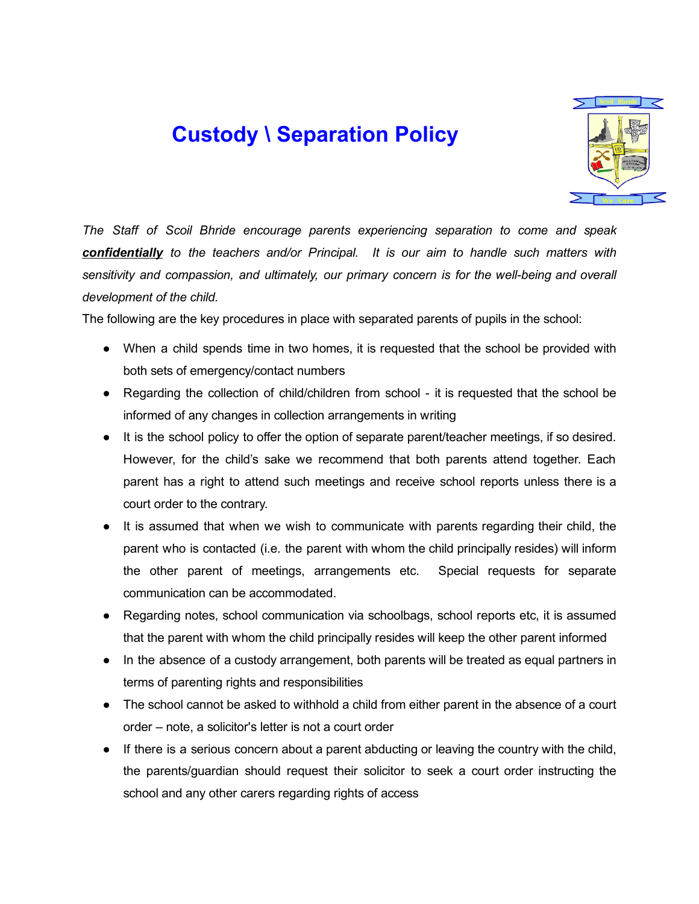## Custody \ Separation Policy



*The Staff of Scoil Bhride encourage parents experiencing separation to come and speak confidentially to the teachers and/or Principal. It is our aim to handle such matters with sensitivity and compassion, and ultimately, our primary concern is for the wellbeing and overall development of the child.*

The following are the key procedures in place with separated parents of pupils in the school:

- When a child spends time in two homes, it is requested that the school be provided with both sets of emergency/contact numbers
- Regarding the collection of child/children from school it is requested that the school be informed of any changes in collection arrangements in writing
- It is the school policy to offer the option of separate parent/teacher meetings, if so desired. However, for the child's sake we recommend that both parents attend together. Each parent has a right to attend such meetings and receive school reports unless there is a court order to the contrary.
- It is assumed that when we wish to communicate with parents regarding their child, the parent who is contacted (i.e. the parent with whom the child principally resides) will inform the other parent of meetings, arrangements etc. Special requests for separate communication can be accommodated.
- Regarding notes, school communication via schoolbags, school reports etc, it is assumed that the parent with whom the child principally resides will keep the other parent informed
- In the absence of a custody arrangement, both parents will be treated as equal partners in terms of parenting rights and responsibilities
- The school cannot be asked to withhold a child from either parent in the absence of a court order – note, a solicitor's letter is not a court order
- If there is a serious concern about a parent abducting or leaving the country with the child, the parents/guardian should request their solicitor to seek a court order instructing the school and any other carers regarding rights of access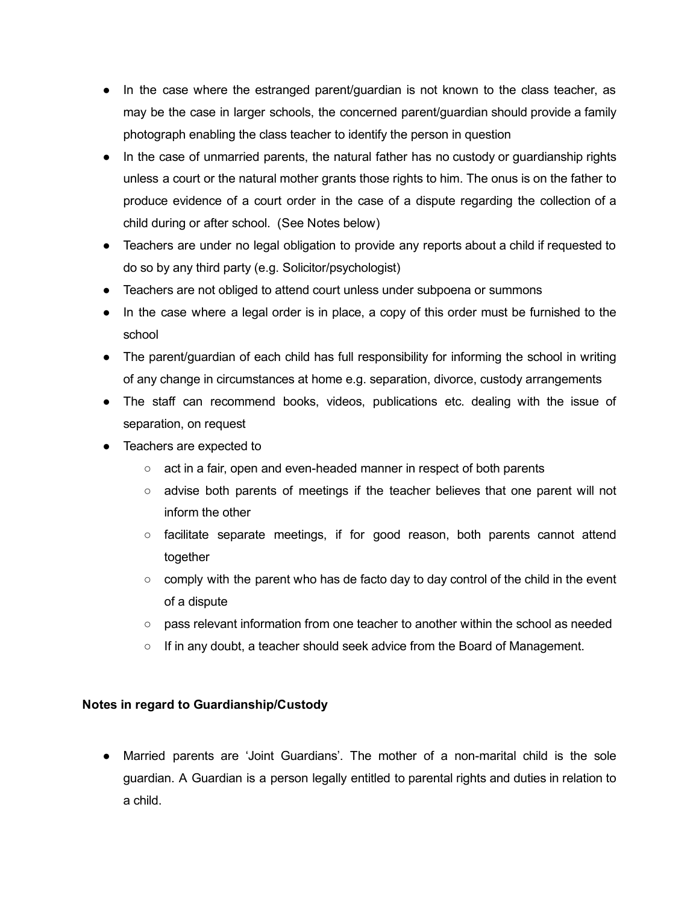- In the case where the estranged parent/guardian is not known to the class teacher, as may be the case in larger schools, the concerned parent/guardian should provide a family photograph enabling the class teacher to identify the person in question
- In the case of unmarried parents, the natural father has no custody or guardianship rights unless a court or the natural mother grants those rights to him. The onus is on the father to produce evidence of a court order in the case of a dispute regarding the collection of a child during or after school. (See Notes below)
- Teachers are under no legal obligation to provide any reports about a child if requested to do so by any third party (e.g. Solicitor/psychologist)
- Teachers are not obliged to attend court unless under subpoena or summons
- In the case where a legal order is in place, a copy of this order must be furnished to the school
- The parent/guardian of each child has full responsibility for informing the school in writing of any change in circumstances at home e.g. separation, divorce, custody arrangements
- The staff can recommend books, videos, publications etc. dealing with the issue of separation, on request
- Teachers are expected to
	- $\circ$  act in a fair, open and even-headed manner in respect of both parents
	- advise both parents of meetings if the teacher believes that one parent will not inform the other
	- $\circ$  facilitate separate meetings, if for good reason, both parents cannot attend together
	- $\circ$  comply with the parent who has de facto day to day control of the child in the event of a dispute
	- pass relevant information from one teacher to another within the school as needed
	- If in any doubt, a teacher should seek advice from the Board of Management.

## Notes in regard to Guardianship/Custody

• Married parents are 'Joint Guardians'. The mother of a non-marital child is the sole guardian. A Guardian is a person legally entitled to parental rights and duties in relation to a child.